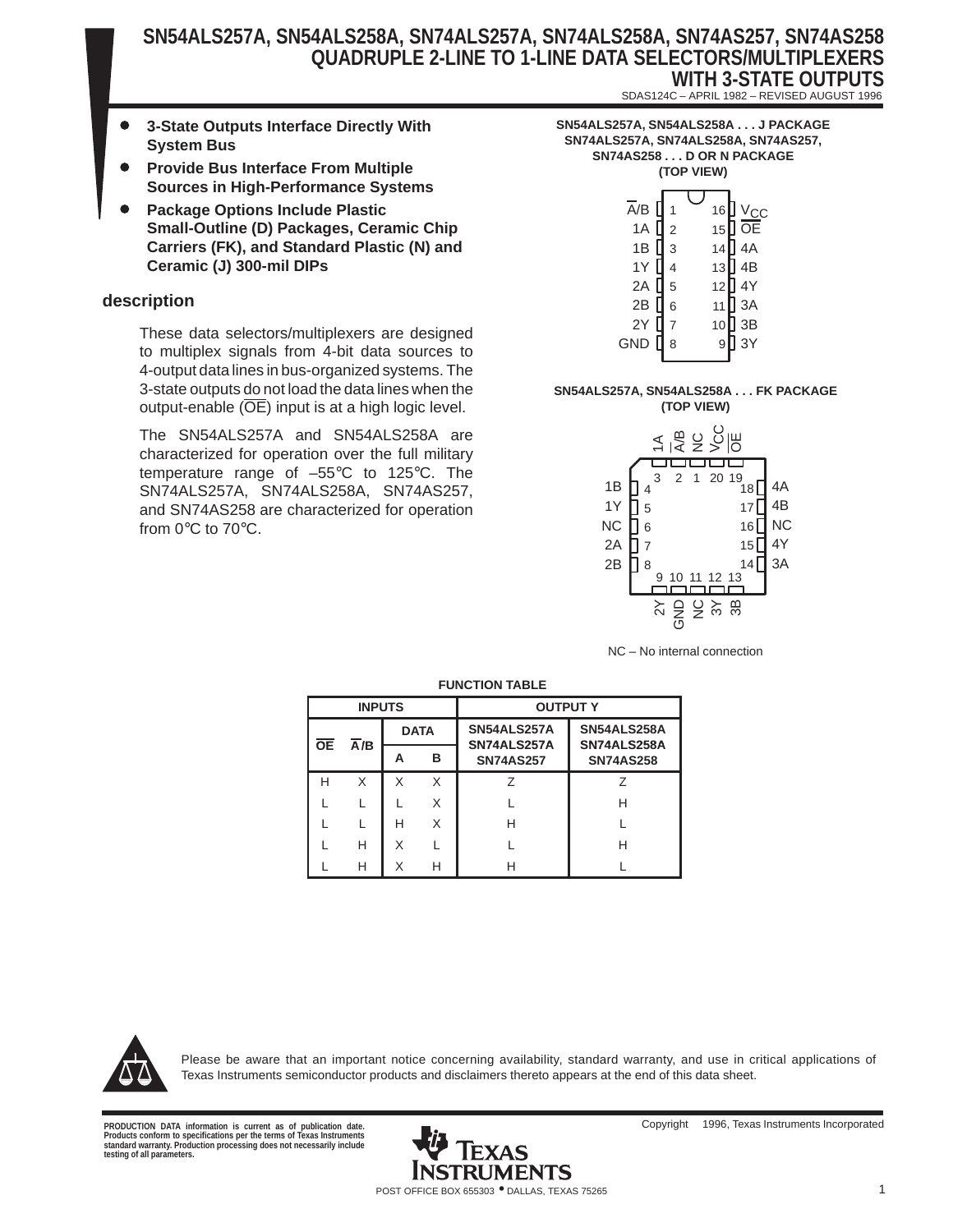- $\bullet$  **3-State Outputs Interface Directly With System Bus**
- $\bullet$  **Provide Bus Interface From Multiple Sources in High-Performance Systems**
- $\bullet$  **Package Options Include Plastic Small-Outline (D) Packages, Ceramic Chip Carriers (FK), and Standard Plastic (N) and Ceramic (J) 300-mil DIPs**

#### **description**

These data selectors/multiplexers are designed to multiplex signals from 4-bit data sources to 4-output data lines in bus-organized systems. The 3-state outputs do not load the data lines when the output-enable (OE) input is at a high logic level.

The SN54ALS257A and SN54ALS258A are characterized for operation over the full military temperature range of –55°C to 125°C. The SN74ALS257A, SN74ALS258A, SN74AS257, and SN74AS258 are characterized for operation from 0°C to 70°C.

| SN54ALS257A, SN54ALS258A J PACKAGE   |
|--------------------------------------|
| SN74ALS257A, SN74ALS258A, SN74AS257, |
| SN74AS258D OR N PACKAGE              |
| (TOP VIEW)                           |
|                                      |

SDAS124C – APRIL 1982 – REVISED AUGUST 1996

| $\overline{A}/B$ |                | 16 | $V_{C}$ |
|------------------|----------------|----|---------|
| 1A               | $\overline{2}$ | 15 | $\log$  |
| 1B               | $\overline{3}$ | 14 | 4A      |
| 1Y               | 4              | 13 | ] 4B    |
| 2A               | 5              | 12 | ] 4Y    |
| 2B               | 6              | 11 | ] 3A    |
| 2Y               | 7              | 10 | 3B      |
| GND              | 8              | 9  | 3Y      |
|                  |                |    |         |

#### **SN54ALS257A, SN54ALS258A . . . FK PACKAGE (TOP VIEW)**



NC – No internal connection

|               | .         |     |   |             |                                 |                                 |  |  |  |  |  |  |
|---------------|-----------|-----|---|-------------|---------------------------------|---------------------------------|--|--|--|--|--|--|
| <b>INPUTS</b> |           |     |   |             | <b>OUTPUT Y</b>                 |                                 |  |  |  |  |  |  |
|               |           |     |   | <b>DATA</b> | SN54ALS257A                     | SN54ALS258A                     |  |  |  |  |  |  |
|               | <b>OE</b> | A/B | А | в           | SN74ALS257A<br><b>SN74AS257</b> | SN74ALS258A<br><b>SN74AS258</b> |  |  |  |  |  |  |
|               | н         | X   | X | X           | 7                               | 7                               |  |  |  |  |  |  |
|               |           |     |   | X           |                                 | н                               |  |  |  |  |  |  |
|               |           |     | н | X           | н                               |                                 |  |  |  |  |  |  |
|               |           | н   | X |             |                                 | н                               |  |  |  |  |  |  |
|               |           | н   |   | н           |                                 |                                 |  |  |  |  |  |  |

#### **FUNCTION TABLE**



Please be aware that an important notice concerning availability, standard warranty, and use in critical applications of Texas Instruments semiconductor products and disclaimers thereto appears at the end of this data sheet.

**Products conform to specifications per the terms of Texas Instruments standard warranty. Production processing does not necessarily include testing of all parameters.**

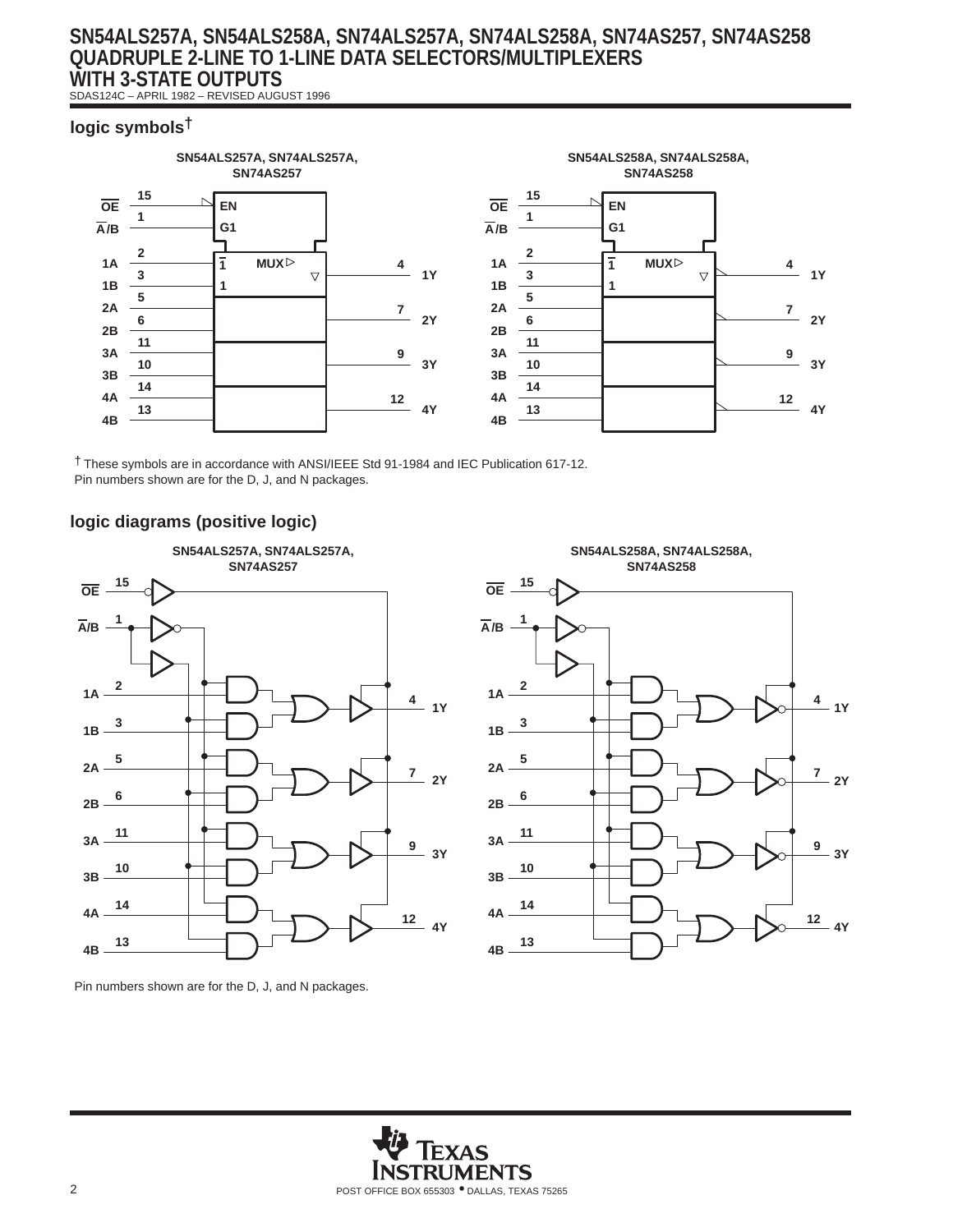SDAS124C – APRIL 1982 – REVISED AUGUST 1996

#### **logic symbols†**



† These symbols are in accordance with ANSI/IEEE Std 91-1984 and IEC Publication 617-12. Pin numbers shown are for the D, J, and N packages.

### **logic diagrams (positive logic)**





Pin numbers shown are for the D, J, and N packages.

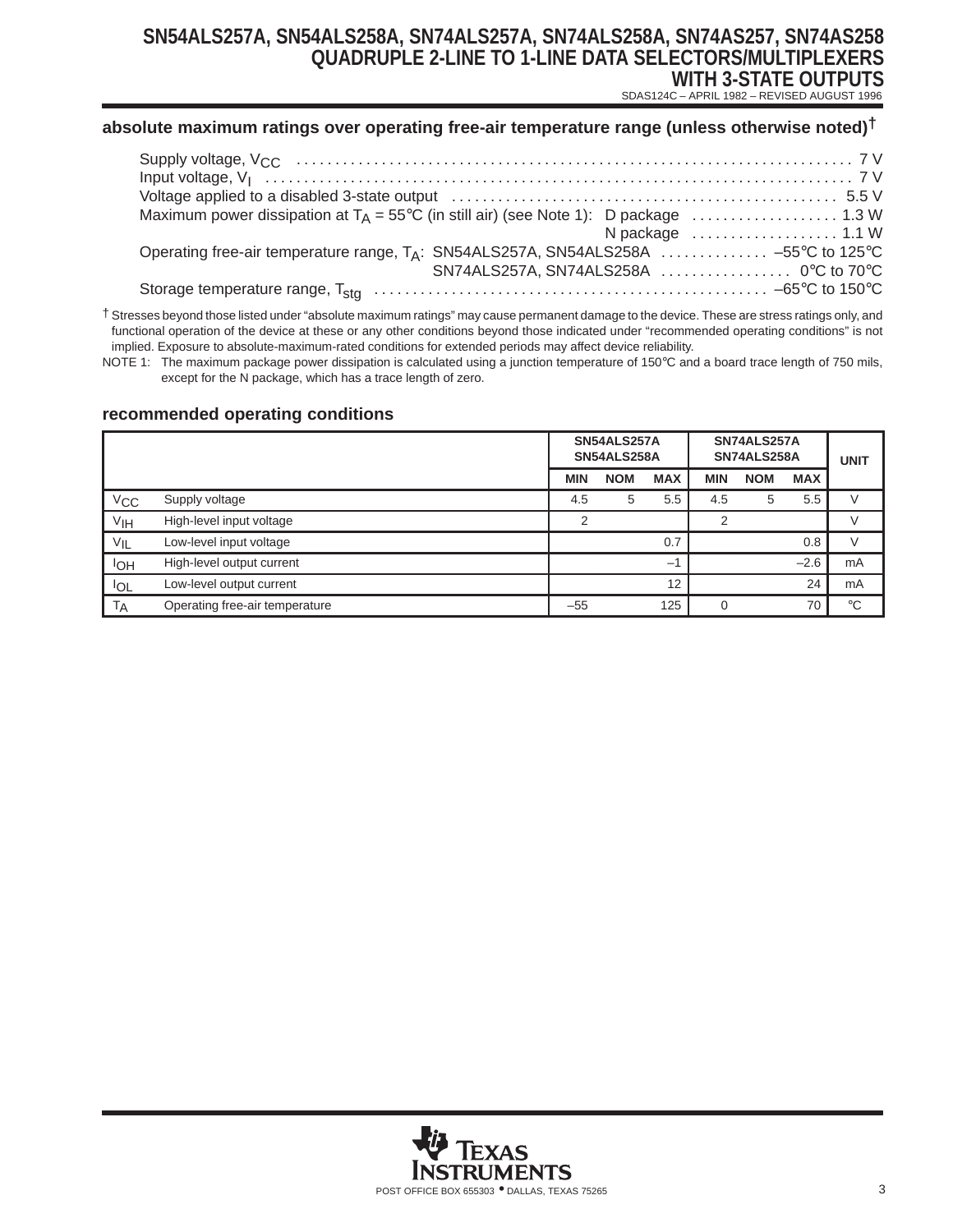SDAS124C – APRIL 1982 – REVISED AUGUST 1996

#### **absolute maximum ratings over operating free-air temperature range (unless otherwise noted)†**

| N package  1.1 W                                                                                |  |
|-------------------------------------------------------------------------------------------------|--|
| Operating free-air temperature range, T <sub>A</sub> : SN54ALS257A, SN54ALS258A  -55°C to 125°C |  |
| SN74ALS257A, SN74ALS258A  0°C to 70°C                                                           |  |
|                                                                                                 |  |

† Stresses beyond those listed under "absolute maximum ratings" may cause permanent damage to the device. These are stress ratings only, and functional operation of the device at these or any other conditions beyond those indicated under "recommended operating conditions" is not implied. Exposure to absolute-maximum-rated conditions for extended periods may affect device reliability.

NOTE 1: The maximum package power dissipation is calculated using a junction temperature of 150°C and a board trace length of 750 mils, except for the N package, which has a trace length of zero.

#### **recommended operating conditions**

|                   |                                | SN74ALS257A<br>SN54ALS257A<br>SN54ALS258A<br>SN74ALS258A |            |            | <b>UNIT</b> |            |            |               |
|-------------------|--------------------------------|----------------------------------------------------------|------------|------------|-------------|------------|------------|---------------|
|                   |                                | <b>MIN</b>                                               | <b>NOM</b> | <b>MAX</b> | <b>MIN</b>  | <b>NOM</b> | <b>MAX</b> |               |
| V <sub>CC</sub>   | Supply voltage                 | 4.5                                                      | 5          | 5.5        | 4.5         | 5          | 5.5        |               |
| V <sub>IH</sub>   | High-level input voltage       | ◠                                                        |            |            |             |            |            | $\vee$        |
| $V_{\mathsf{IL}}$ | Low-level input voltage        |                                                          |            | 0.7        |             |            | 0.8        | $\mathcal{N}$ |
| <b>IOH</b>        | High-level output current      |                                                          |            | $-$        |             |            | $-2.6$     | mA            |
| <b>IOL</b>        | Low-level output current       |                                                          |            | 12         |             |            | 24         | mA            |
| TA                | Operating free-air temperature | $-55$                                                    |            | 125        |             |            | 70         | $^{\circ}C$   |

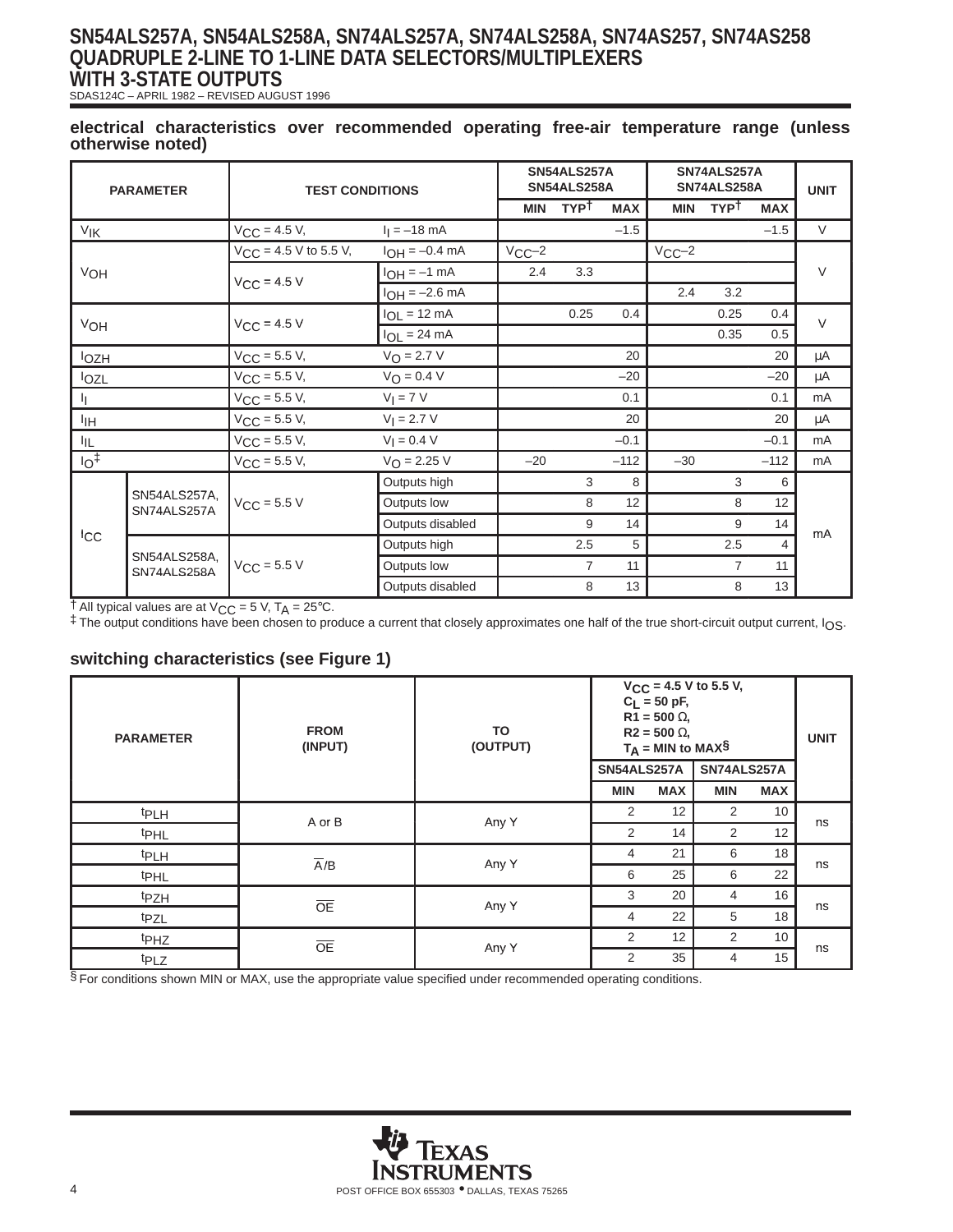SDAS124C – APRIL 1982 – REVISED AUGUST 1996

#### **electrical characteristics over recommended operating free-air temperature range (unless otherwise noted)**

| <b>PARAMETER</b> |                                                 | <b>TEST CONDITIONS</b>     |                      |            | SN54ALS257A<br>SN54ALS258A |            |            | SN74ALS257A<br>SN74ALS258A |                | <b>UNIT</b> |
|------------------|-------------------------------------------------|----------------------------|----------------------|------------|----------------------------|------------|------------|----------------------------|----------------|-------------|
|                  |                                                 |                            |                      | <b>MIN</b> | <b>TYPT</b>                | <b>MAX</b> | <b>MIN</b> | <b>TYPT</b>                | <b>MAX</b>     |             |
| V <sub>IK</sub>  |                                                 | $V_{CC} = 4.5 V,$          | $I_1 = -18$ mA       |            |                            | $-1.5$     |            |                            | $-1.5$         | $\vee$      |
|                  |                                                 | $V_{CC}$ = 4.5 V to 5.5 V, | $I_{OH} = -0.4$ mA   | $VCC-2$    |                            |            | $VCC-2$    |                            |                |             |
| VOH              |                                                 | $V_{CC} = 4.5 V$           | $I_{OH} = -1$ mA     | 2.4        | 3.3                        |            |            |                            |                | $\vee$      |
|                  |                                                 |                            | $I_{OH} = -2.6$ mA   |            |                            |            | 2.4        | 3.2                        |                |             |
|                  |                                                 |                            | $I_{OL}$ = 12 mA     |            | 0.25                       | 0.4        |            | 0.25                       | 0.4            | $\vee$      |
| VOH              |                                                 | $V_{CC}$ = 4.5 V           | $I_{OL}$ = 24 mA     |            |                            |            |            | 0.35                       | 0.5            |             |
| <b>lozh</b>      |                                                 | $V_{CC}$ = 5.5 V,          | $V_{O} = 2.7 V$      |            |                            | 20         |            |                            | 20             | μA          |
| lozl             |                                                 | $V_{CC}$ = 5.5 V,          | $V_{\Omega} = 0.4 V$ |            |                            | $-20$      |            |                            | $-20$          | μA          |
| IJ.              |                                                 | $V_{CC} = 5.5 V,$          | $VI = 7 V$           |            |                            | 0.1        |            |                            | 0.1            | mA          |
| IІН              |                                                 | $V_{CC}$ = 5.5 V,          | $V_1 = 2.7 V$        |            |                            | 20         |            |                            | 20             | μA          |
| IIГ.             |                                                 | $V_{CC} = 5.5 V,$          | $V_1 = 0.4 V$        |            |                            | $-0.1$     |            |                            | $-0.1$         | mA          |
| 10 <sup>†</sup>  |                                                 | $V_{CC}$ = 5.5 V,          | $V_{O} = 2.25 V$     | $-20$      |                            | $-112$     | $-30$      |                            | $-112$         | mA          |
|                  |                                                 |                            | Outputs high         |            | 3                          | 8          |            | 3                          | 6              |             |
|                  | SN54ALS257A,<br>$V_{CC}$ = 5.5 V<br>SN74ALS257A |                            | Outputs low          |            | 8                          | 12         |            | 8                          | 12             |             |
|                  |                                                 |                            | Outputs disabled     |            | 9                          | 14         |            | 9                          | 14             | mA          |
| ICC              |                                                 |                            | Outputs high         |            | 2.5                        | 5          |            | 2.5                        | $\overline{4}$ |             |
|                  | SN54ALS258A,<br>SN74ALS258A                     | $V_{CC}$ = 5.5 V           | Outputs low          |            | $\overline{7}$             | 11         |            | $\overline{7}$             | 11             |             |
|                  |                                                 |                            | Outputs disabled     |            | 8                          | 13         |            | 8                          | 13             |             |

 $\dagger$  All typical values are at V<sub>CC</sub> = 5 V, T<sub>A</sub> = 25°C.

‡ The output conditions have been chosen to produce a current that closely approximates one half of the true short-circuit output current, IOS.

#### **switching characteristics (see Figure 1)**

| <b>PARAMETER</b> | <b>FROM</b><br>(INPUT) | TO<br>(OUTPUT) | SN54ALS257A    | $C_L = 50$ pF,<br>$R1 = 500 \Omega$<br>$R2 = 500 \Omega$<br>$T_A$ = MIN to MAX§ | $V_{CC}$ = 4.5 V to 5.5 V,<br>SN74ALS257A |            | <b>UNIT</b> |
|------------------|------------------------|----------------|----------------|---------------------------------------------------------------------------------|-------------------------------------------|------------|-------------|
|                  |                        |                | <b>MIN</b>     | <b>MAX</b>                                                                      | <b>MIN</b>                                | <b>MAX</b> |             |
| <b>tPLH</b>      | A or B                 | Any Y          | 2              | 12                                                                              | 2                                         | 10         |             |
| <b>t</b> PHL     |                        |                | 2              | 14                                                                              | 2                                         | 12         | ns          |
| <b>tPLH</b>      | $\overline{A}/B$       | Any Y          | $\overline{4}$ | 21                                                                              | 6                                         | 18         |             |
| <sup>t</sup> PHL |                        |                | 6              | 25                                                                              | 6                                         | 22         | ns          |
| t <sub>PZH</sub> |                        | Any Y          | 3              | 20                                                                              | 4                                         | 16         |             |
| t <sub>PZL</sub> | <b>OE</b>              |                | $\overline{4}$ | 22                                                                              | 5                                         | 18         | ns          |
| t <sub>PHZ</sub> | <b>OE</b>              | Any Y          | 2              | 12                                                                              | $\overline{2}$                            | 10         | ns          |
| <b>t</b> PLZ     |                        |                | 2              | 35                                                                              | 4                                         | 15         |             |

§ For conditions shown MIN or MAX, use the appropriate value specified under recommended operating conditions.

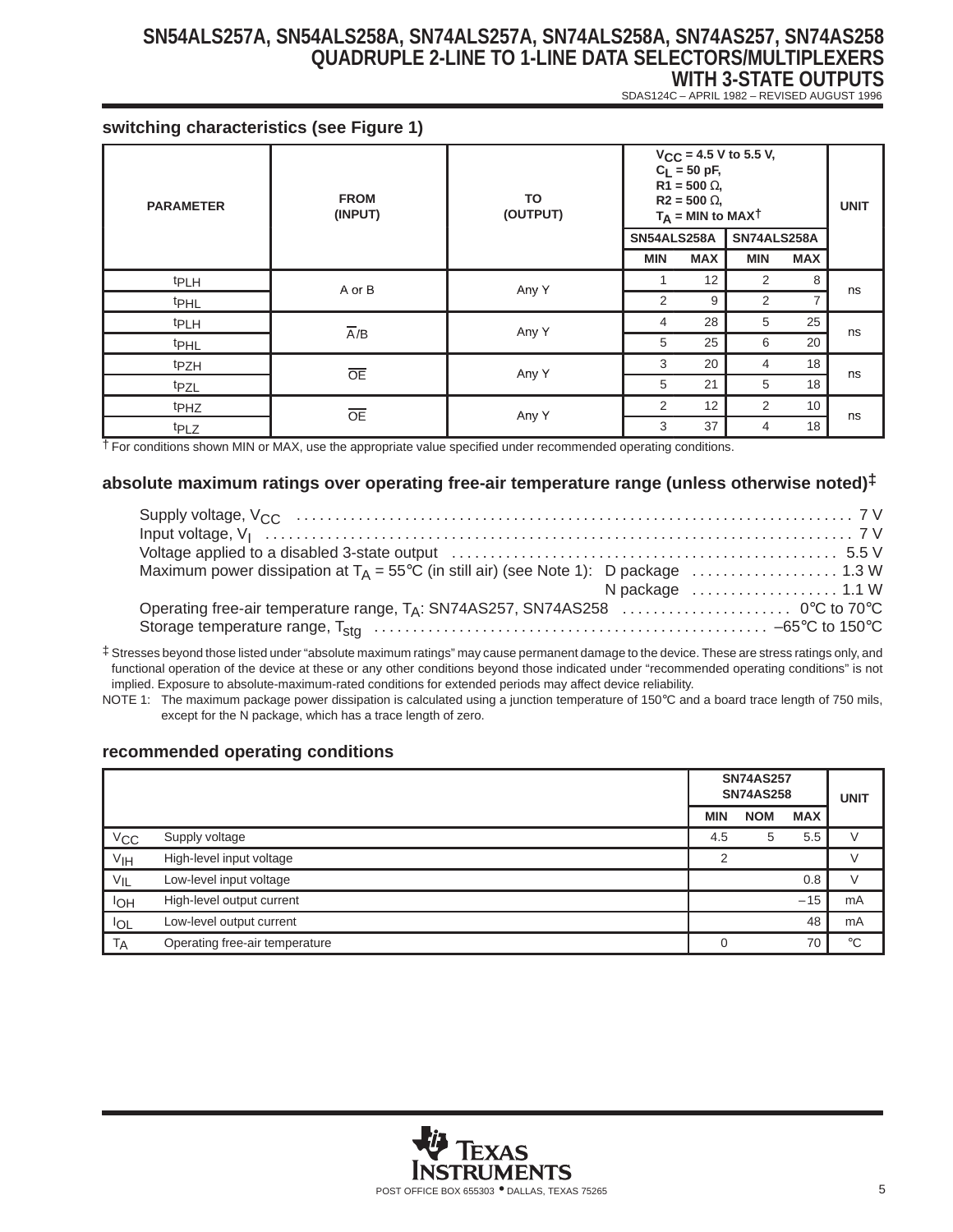SDAS124C – APRIL 1982 – REVISED AUGUST 1996

#### **switching characteristics (see Figure 1)**

| <b>PARAMETER</b> | <b>FROM</b><br>(INPUT) | TO<br>(OUTPUT) | SN54ALS258A | $C_L = 50$ pF,<br>$R1 = 500 \Omega$<br>$R2 = 500 \Omega$<br>$T_A$ = MIN to MAXT | $V_{CC}$ = 4.5 V to 5.5 V,<br>SN74ALS258A |                | <b>UNIT</b> |
|------------------|------------------------|----------------|-------------|---------------------------------------------------------------------------------|-------------------------------------------|----------------|-------------|
|                  |                        |                | <b>MIN</b>  | <b>MAX</b>                                                                      | <b>MIN</b>                                | <b>MAX</b>     |             |
| <sup>t</sup> PLH | A or B                 | Any Y          |             | 12                                                                              | 2                                         | 8              |             |
| <sup>t</sup> PHL |                        |                | 2           | 9                                                                               | $\overline{2}$                            | $\overline{7}$ | ns          |
| <sup>t</sup> PLH |                        | Any Y          | 4           | 28                                                                              | 5                                         | 25             |             |
| <b>t</b> PHL     | $\overline{A}/B$       |                | 5           | 25                                                                              | 6                                         | 20             | ns          |
| tpzH             | $\overline{OE}$        |                | 3           | 20                                                                              | 4                                         | 18             |             |
| tpzL             |                        | Any Y          | 5           | 21                                                                              | 5                                         | 18             | ns          |
| t <sub>PHZ</sub> | $\overline{OE}$        |                | 2           | 12                                                                              | $\overline{2}$                            | 10             |             |
| t <sub>PLZ</sub> |                        | Any Y          | 3           | 37                                                                              | 4                                         | 18             | ns          |

† For conditions shown MIN or MAX, use the appropriate value specified under recommended operating conditions.

#### **absolute maximum ratings over operating free-air temperature range (unless otherwise noted)‡**

| N package $\dots\dots\dots\dots\dots\dots$ 1.1 W |  |
|--------------------------------------------------|--|
|                                                  |  |
|                                                  |  |

‡ Stresses beyond those listed under "absolute maximum ratings" may cause permanent damage to the device. These are stress ratings only, and functional operation of the device at these or any other conditions beyond those indicated under "recommended operating conditions" is not implied. Exposure to absolute-maximum-rated conditions for extended periods may affect device reliability.

NOTE 1: The maximum package power dissipation is calculated using a junction temperature of 150°C and a board trace length of 750 mils, except for the N package, which has a trace length of zero.

#### **recommended operating conditions**

|                 |                                | <b>SN74AS257</b><br><b>SN74AS258</b> |            |            | <b>UNIT</b> |
|-----------------|--------------------------------|--------------------------------------|------------|------------|-------------|
|                 |                                | <b>MIN</b>                           | <b>NOM</b> | <b>MAX</b> |             |
| $V_{\rm CC}$    | Supply voltage                 | 4.5                                  | 5          | 5.5        |             |
| V <sub>IH</sub> | High-level input voltage       | っ                                    |            |            | V           |
| $V_{IL}$        | Low-level input voltage        |                                      |            | 0.8        |             |
| lон             | High-level output current      |                                      |            | $-15$      | mA          |
| <b>IOL</b>      | Low-level output current       |                                      |            | 48         | mA          |
| <b>TA</b>       | Operating free-air temperature |                                      |            | 70         | $^{\circ}C$ |

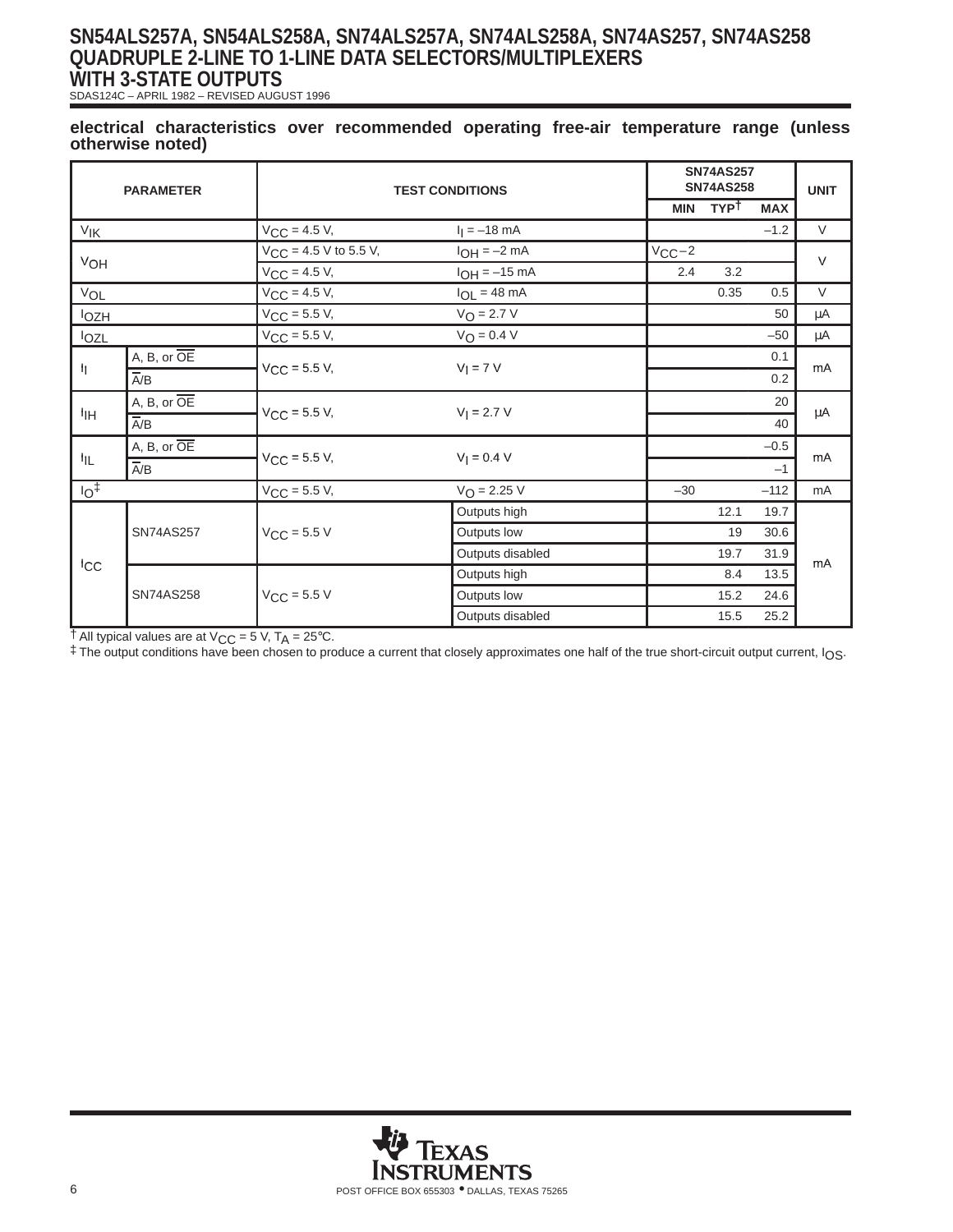SDAS124C – APRIL 1982 – REVISED AUGUST 1996

#### **electrical characteristics over recommended operating free-air temperature range (unless otherwise noted)**

| <b>PARAMETER</b>      |                          | <b>TEST CONDITIONS</b>     |                          | <b>SN74AS257</b><br><b>SN74AS258</b> |             | <b>UNIT</b> |        |
|-----------------------|--------------------------|----------------------------|--------------------------|--------------------------------------|-------------|-------------|--------|
|                       |                          |                            |                          | <b>MIN</b>                           | <b>TYPT</b> | <b>MAX</b>  |        |
| <b>V<sub>IK</sub></b> |                          | $V_{CC} = 4.5 V,$          | $I_1 = -18$ mA           |                                      |             | $-1.2$      | $\vee$ |
|                       |                          | $V_{CC}$ = 4.5 V to 5.5 V, | $I_{OH} = -2 mA$         | $V_{CC}-2$                           |             |             | $\vee$ |
| VOH                   |                          | $V_{CC}$ = 4.5 V,          | $I_{OH} = -15$ mA        | 2.4                                  | 3.2         |             |        |
| VOL                   |                          | $V_{CC} = 4.5 V,$          | $I_{OL} = 48 \text{ mA}$ |                                      | 0.35        | 0.5         | $\vee$ |
| <b>lozH</b>           |                          | $V_{CC} = 5.5 V,$          | $V_O = 2.7 V$            |                                      |             | 50          | μA     |
| lozl                  |                          | $V_{CC}$ = 5.5 V,          | $V_O = 0.4 V$            |                                      |             | $-50$       | μA     |
|                       | A, B, or OE              |                            |                          |                                      |             | 0.1         |        |
| ħ                     | $\overline{A/B}$         | $V_{CC}$ = 5.5 V,          | $Vl = 7 V$               |                                      |             | 0.2         | mA     |
|                       | A, B, or OE              |                            | $V_1 = 2.7 V$            |                                      |             | 20          |        |
| ŀщ                    | $\overline{A/B}$         | $V_{CC} = 5.5 V,$          |                          |                                      |             | 40          | μA     |
|                       | $A, B, or \overline{OE}$ |                            |                          |                                      |             | $-0.5$      |        |
| ŀμ                    | $\overline{A/B}$         | $V_{CC}$ = 5.5 V,          | $V_1 = 0.4 V$            |                                      |             | $-1$        | mA     |
| $10+$                 |                          | $V_{CC}$ = 5.5 V,          | $V_{\text{O}} = 2.25 V$  | $-30$                                |             | $-112$      | mA     |
|                       |                          |                            | Outputs high             |                                      | 12.1        | 19.7        |        |
|                       | <b>SN74AS257</b>         | $V_{CC}$ = 5.5 V           | Outputs low              |                                      | 19          | 30.6        |        |
|                       |                          |                            | Outputs disabled         |                                      | 19.7        | 31.9        | mA     |
| <b>ICC</b>            |                          |                            | Outputs high             |                                      | 8.4         | 13.5        |        |
|                       | <b>SN74AS258</b>         | $V_{CC}$ = 5.5 V           | Outputs low              |                                      | 15.2        | 24.6        |        |
|                       |                          |                            | Outputs disabled         |                                      | 15.5        | 25.2        |        |

 $\dagger$  All typical values are at V<sub>CC</sub> = 5 V, T<sub>A</sub> = 25°C.

‡ The output conditions have been chosen to produce a current that closely approximates one half of the true short-circuit output current, IOS.

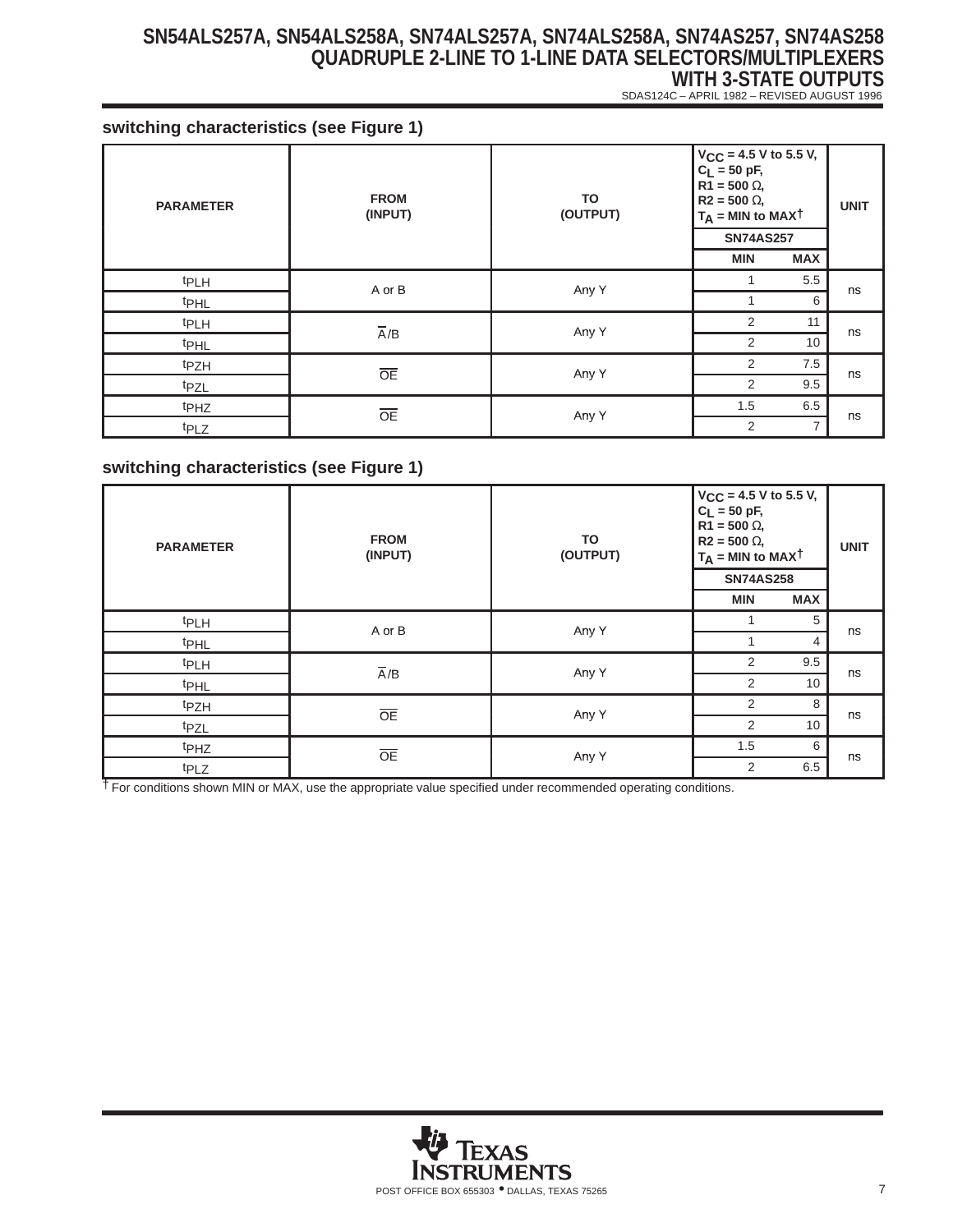**WITH 3-STATE OUTPUTS** SDAS124C – APRIL 1982 – REVISED AUGUST 1996

**switching characteristics (see Figure 1)**

| <b>PARAMETER</b> | <b>FROM</b><br>(INPUT) | TO<br>(OUTPUT) | $V_{CC}$ = 4.5 V to 5.5 V,<br>$C_L = 50 pF,$<br>$R1 = 500 \Omega$<br>$R2 = 500 \Omega$<br>$T_A$ = MIN to MAXT<br><b>SN74AS257</b> |                | <b>UNIT</b> |
|------------------|------------------------|----------------|-----------------------------------------------------------------------------------------------------------------------------------|----------------|-------------|
|                  |                        |                | <b>MIN</b>                                                                                                                        | <b>MAX</b>     |             |
| t <sub>PLH</sub> | A or B                 | Any Y          |                                                                                                                                   | 5.5            | ns          |
| t <sub>PHL</sub> |                        |                |                                                                                                                                   | 6              |             |
| t <sub>PLH</sub> | $\overline{A}/B$       | Any Y          | 2                                                                                                                                 | 11             |             |
| <b>t</b> PHL     |                        |                | 2                                                                                                                                 | 10             | ns          |
| tpzH             |                        | Any Y          | 2                                                                                                                                 | 7.5            |             |
| tpzL             | $\overline{OE}$        |                | 2                                                                                                                                 | 9.5            | ns          |
| t <sub>PHZ</sub> | OE                     |                | 1.5                                                                                                                               | 6.5            |             |
| t <sub>PLZ</sub> |                        | Any Y          | 2                                                                                                                                 | $\overline{7}$ | ns          |

## **switching characteristics (see Figure 1)**

| <b>PARAMETER</b> | <b>FROM</b><br>(INPUT) | TO<br>(OUTPUT) | $V_{CC}$ = 4.5 V to 5.5 V,<br>$C_L = 50$ pF,<br>$R1 = 500 \Omega$<br>$R2 = 500 \Omega$<br>$T_A$ = MIN to MAXT<br><b>SN74AS258</b> |                | <b>UNIT</b> |
|------------------|------------------------|----------------|-----------------------------------------------------------------------------------------------------------------------------------|----------------|-------------|
|                  |                        |                | <b>MIN</b>                                                                                                                        | <b>MAX</b>     |             |
| <sup>t</sup> PLH | A or B                 | Any Y          | 1                                                                                                                                 | 5              | ns          |
| <sup>t</sup> PHL |                        |                |                                                                                                                                   | $\overline{4}$ |             |
| <sup>t</sup> PLH | $\overline{A}/B$       | Any Y          | 2                                                                                                                                 | 9.5            | ns          |
| <sup>t</sup> PHL |                        |                | 2                                                                                                                                 | 10             |             |
| t <sub>PZH</sub> | $\overline{OE}$        | Any Y          | 2                                                                                                                                 | 8              | ns          |
| t <sub>PZL</sub> |                        |                | 2                                                                                                                                 | 10             |             |
| t <sub>PHZ</sub> | OE                     | Any Y          | 1.5                                                                                                                               | 6              | ns          |
| t <sub>PLZ</sub> |                        |                | 2                                                                                                                                 | 6.5            |             |

† For conditions shown MIN or MAX, use the appropriate value specified under recommended operating conditions.